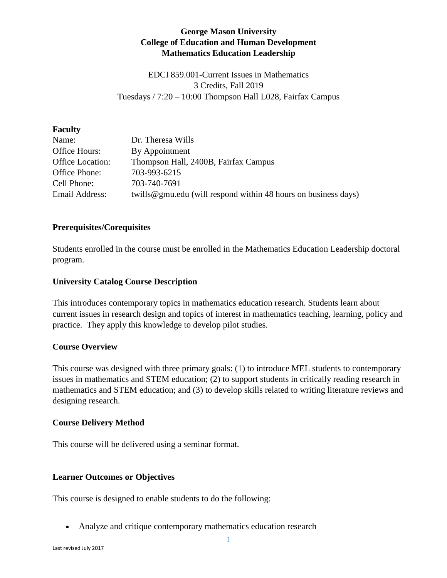# **George Mason University College of Education and Human Development Mathematics Education Leadership**

EDCI 859.001-Current Issues in Mathematics 3 Credits, Fall 2019 Tuesdays / 7:20 – 10:00 Thompson Hall L028, Fairfax Campus

#### **Faculty**

| Name:            | Dr. Theresa Wills                                              |
|------------------|----------------------------------------------------------------|
| Office Hours:    | By Appointment                                                 |
| Office Location: | Thompson Hall, 2400B, Fairfax Campus                           |
| Office Phone:    | 703-993-6215                                                   |
| Cell Phone:      | 703-740-7691                                                   |
| Email Address:   | twills@gmu.edu (will respond within 48 hours on business days) |

### **Prerequisites/Corequisites**

Students enrolled in the course must be enrolled in the Mathematics Education Leadership doctoral program.

#### **University Catalog Course Description**

This introduces contemporary topics in mathematics education research. Students learn about current issues in research design and topics of interest in mathematics teaching, learning, policy and practice. They apply this knowledge to develop pilot studies.

### **Course Overview**

This course was designed with three primary goals: (1) to introduce MEL students to contemporary issues in mathematics and STEM education; (2) to support students in critically reading research in mathematics and STEM education; and (3) to develop skills related to writing literature reviews and designing research.

### **Course Delivery Method**

This course will be delivered using a seminar format.

### **Learner Outcomes or Objectives**

This course is designed to enable students to do the following:

Analyze and critique contemporary mathematics education research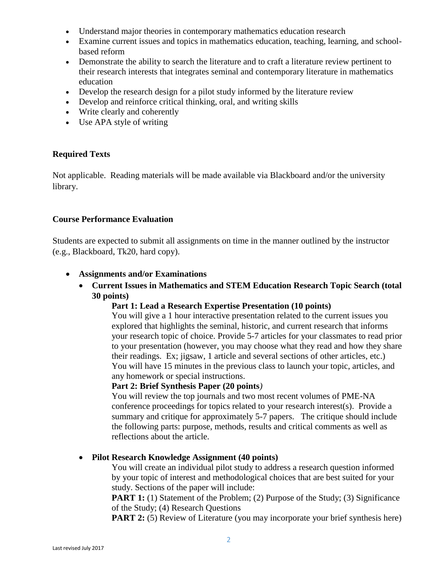- Understand major theories in contemporary mathematics education research
- Examine current issues and topics in mathematics education, teaching, learning, and schoolbased reform
- Demonstrate the ability to search the literature and to craft a literature review pertinent to their research interests that integrates seminal and contemporary literature in mathematics education
- Develop the research design for a pilot study informed by the literature review
- Develop and reinforce critical thinking, oral, and writing skills
- Write clearly and coherently
- Use APA style of writing

### **Required Texts**

Not applicable. Reading materials will be made available via Blackboard and/or the university library.

## **Course Performance Evaluation**

Students are expected to submit all assignments on time in the manner outlined by the instructor (e.g., Blackboard, Tk20, hard copy).

- **Assignments and/or Examinations**
	- **Current Issues in Mathematics and STEM Education Research Topic Search (total 30 points)**

### **Part 1: Lead a Research Expertise Presentation (10 points)**

You will give a 1 hour interactive presentation related to the current issues you explored that highlights the seminal, historic, and current research that informs your research topic of choice. Provide 5-7 articles for your classmates to read prior to your presentation (however, you may choose what they read and how they share their readings. Ex; jigsaw, 1 article and several sections of other articles, etc.) You will have 15 minutes in the previous class to launch your topic, articles, and any homework or special instructions.

### **Part 2: Brief Synthesis Paper (20 points***)*

You will review the top journals and two most recent volumes of PME-NA conference proceedings for topics related to your research interest(s). Provide a summary and critique for approximately 5-7 papers. The critique should include the following parts: purpose, methods, results and critical comments as well as reflections about the article.

### **Pilot Research Knowledge Assignment (40 points)**

You will create an individual pilot study to address a research question informed by your topic of interest and methodological choices that are best suited for your study. Sections of the paper will include:

**PART 1:** (1) Statement of the Problem; (2) Purpose of the Study; (3) Significance of the Study; (4) Research Questions

**PART 2:** (5) Review of Literature (you may incorporate your brief synthesis here)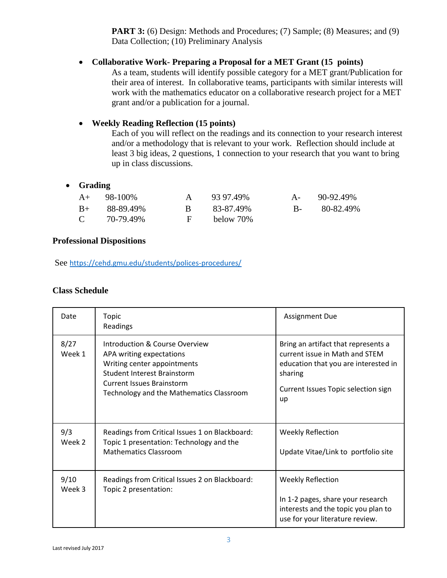**PART 3:** (6) Design: Methods and Procedures; (7) Sample; (8) Measures; and (9) Data Collection; (10) Preliminary Analysis

# **Collaborative Work- Preparing a Proposal for a MET Grant (15 points)**

As a team, students will identify possible category for a MET grant/Publication for their area of interest. In collaborative teams, participants with similar interests will work with the mathematics educator on a collaborative research project for a MET grant and/or a publication for a journal.

## **Weekly Reading Reflection (15 points)**

Each of you will reflect on the readings and its connection to your research interest and/or a methodology that is relevant to your work. Reflection should include at least 3 big ideas, 2 questions, 1 connection to your research that you want to bring up in class discussions.

## **Grading**

|               | $A+$ 98-100% |              | 93.97.49% | $A - 90-92.49\%$ |
|---------------|--------------|--------------|-----------|------------------|
| $B+$          | 88-89.49%    |              | 83-87.49% | B- 80-82.49%     |
| $\mathcal{C}$ | 70-79.49%    | $\mathbf{F}$ | below 70% |                  |

### **Professional Dispositions**

See <https://cehd.gmu.edu/students/polices-procedures/>

### **Class Schedule**

| Date           | Topic<br>Readings                                                                                                                                                                                               | <b>Assignment Due</b>                                                                                                                                                 |
|----------------|-----------------------------------------------------------------------------------------------------------------------------------------------------------------------------------------------------------------|-----------------------------------------------------------------------------------------------------------------------------------------------------------------------|
| 8/27<br>Week 1 | Introduction & Course Overview<br>APA writing expectations<br>Writing center appointments<br><b>Student Interest Brainstorm</b><br><b>Current Issues Brainstorm</b><br>Technology and the Mathematics Classroom | Bring an artifact that represents a<br>current issue in Math and STEM<br>education that you are interested in<br>sharing<br>Current Issues Topic selection sign<br>up |
| 9/3<br>Week 2  | Readings from Critical Issues 1 on Blackboard:<br>Topic 1 presentation: Technology and the<br><b>Mathematics Classroom</b>                                                                                      | <b>Weekly Reflection</b><br>Update Vitae/Link to portfolio site                                                                                                       |
| 9/10<br>Week 3 | Readings from Critical Issues 2 on Blackboard:<br>Topic 2 presentation:                                                                                                                                         | <b>Weekly Reflection</b><br>In 1-2 pages, share your research<br>interests and the topic you plan to<br>use for your literature review.                               |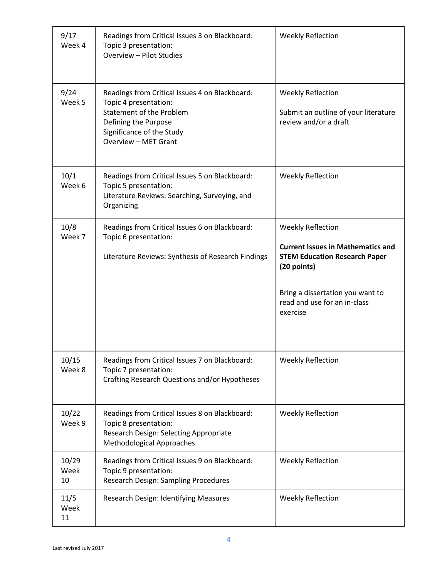| 9/17<br>Week 4      | Readings from Critical Issues 3 on Blackboard:<br>Topic 3 presentation:<br>Overview - Pilot Studies                                                                                     | <b>Weekly Reflection</b>                                                                                                                                                                             |
|---------------------|-----------------------------------------------------------------------------------------------------------------------------------------------------------------------------------------|------------------------------------------------------------------------------------------------------------------------------------------------------------------------------------------------------|
| 9/24<br>Week 5      | Readings from Critical Issues 4 on Blackboard:<br>Topic 4 presentation:<br><b>Statement of the Problem</b><br>Defining the Purpose<br>Significance of the Study<br>Overview - MET Grant | <b>Weekly Reflection</b><br>Submit an outline of your literature<br>review and/or a draft                                                                                                            |
| 10/1<br>Week 6      | Readings from Critical Issues 5 on Blackboard:<br>Topic 5 presentation:<br>Literature Reviews: Searching, Surveying, and<br>Organizing                                                  | <b>Weekly Reflection</b>                                                                                                                                                                             |
| 10/8<br>Week 7      | Readings from Critical Issues 6 on Blackboard:<br>Topic 6 presentation:<br>Literature Reviews: Synthesis of Research Findings                                                           | Weekly Reflection<br><b>Current Issues in Mathematics and</b><br><b>STEM Education Research Paper</b><br>(20 points)<br>Bring a dissertation you want to<br>read and use for an in-class<br>exercise |
| 10/15<br>Week 8     | Readings from Critical Issues 7 on Blackboard:<br>Topic 7 presentation:<br>Crafting Research Questions and/or Hypotheses                                                                | <b>Weekly Reflection</b>                                                                                                                                                                             |
| 10/22<br>Week 9     | Readings from Critical Issues 8 on Blackboard:<br>Topic 8 presentation:<br>Research Design: Selecting Appropriate<br><b>Methodological Approaches</b>                                   | <b>Weekly Reflection</b>                                                                                                                                                                             |
| 10/29<br>Week<br>10 | Readings from Critical Issues 9 on Blackboard:<br>Topic 9 presentation:<br>Research Design: Sampling Procedures                                                                         | <b>Weekly Reflection</b>                                                                                                                                                                             |
| 11/5<br>Week<br>11  | Research Design: Identifying Measures                                                                                                                                                   | <b>Weekly Reflection</b>                                                                                                                                                                             |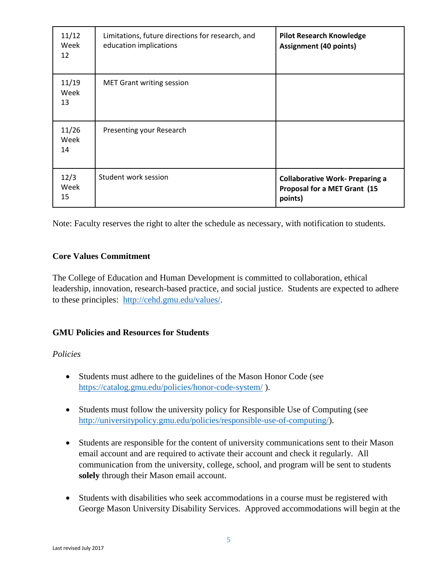| 11/12<br>Week<br>12 | Limitations, future directions for research, and<br>education implications | <b>Pilot Research Knowledge</b><br><b>Assignment (40 points)</b>                  |
|---------------------|----------------------------------------------------------------------------|-----------------------------------------------------------------------------------|
| 11/19<br>Week<br>13 | <b>MET Grant writing session</b>                                           |                                                                                   |
| 11/26<br>Week<br>14 | Presenting your Research                                                   |                                                                                   |
| 12/3<br>Week<br>15  | Student work session                                                       | <b>Collaborative Work- Preparing a</b><br>Proposal for a MET Grant (15<br>points) |

Note: Faculty reserves the right to alter the schedule as necessary, with notification to students.

## **Core Values Commitment**

The College of Education and Human Development is committed to collaboration, ethical leadership, innovation, research-based practice, and social justice. Students are expected to adhere to these principles: [http://cehd.gmu.edu/values/.](http://cehd.gmu.edu/values/)

# **GMU Policies and Resources for Students**

## *Policies*

- Students must adhere to the guidelines of the Mason Honor Code (see <https://catalog.gmu.edu/policies/honor-code-system/> ).
- Students must follow the university policy for Responsible Use of Computing (see [http://universitypolicy.gmu.edu/policies/responsible-use-of-computing/\)](http://universitypolicy.gmu.edu/policies/responsible-use-of-computing/).
- Students are responsible for the content of university communications sent to their Mason email account and are required to activate their account and check it regularly. All communication from the university, college, school, and program will be sent to students **solely** through their Mason email account.
- Students with disabilities who seek accommodations in a course must be registered with George Mason University Disability Services. Approved accommodations will begin at the